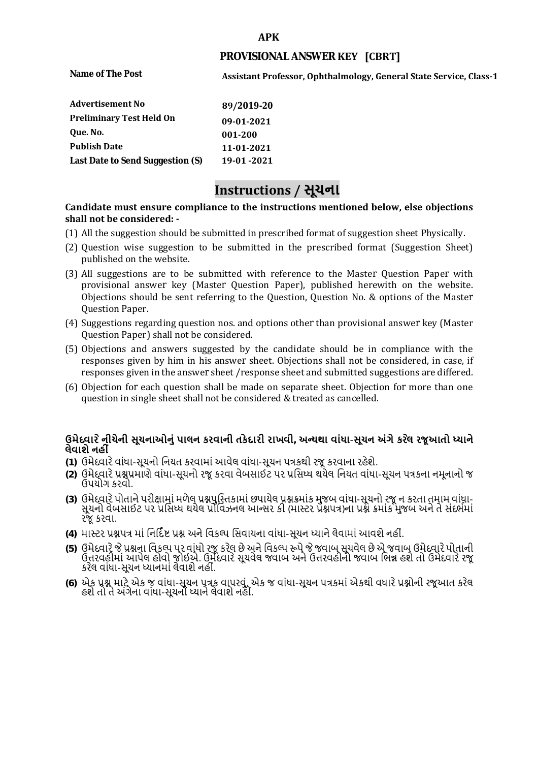#### **APK**

## **PROVISIONAL ANSWER KEY [CBRT]**

**Name of The Post** 

**Assistant Professor, Ophthalmology, General State Service, Class-1** 

| <b>Advertisement No</b>          | 89/2019-20  |
|----------------------------------|-------------|
| <b>Preliminary Test Held On</b>  | 09-01-2021  |
| Oue. No.                         | 001-200     |
| <b>Publish Date</b>              | 11-01-2021  |
| Last Date to Send Suggestion (S) | 19-01 -2021 |

# **Instructions / સૂચના**

### **shall not be considered: - Candidate must ensure compliance to the instructions mentioned below, else objections**

- (1) All the suggestion should be submitted in prescribed format of suggestion sheet Physically.
- (2) Question wise suggestion to be submitted in the prescribed format (Suggestion Sheet) published on the website.
- (3) All suggestions are to be submitted with reference to the Master Question Paper with provisional answer key (Master Question Paper), published herewith on the website. Objections should be sent referring to the Question, Question No. & options of the Master Question Paper.
- (4) Suggestions regarding question nos. and options other than provisional answer key (Master Question Paper) shall not be considered.
- (5) Objections and answers suggested by the candidate should be in compliance with the responses given by him in his answer sheet. Objections shall not be considered, in case, if responses given in the answer sheet /response sheet and submitted suggestions are differed.
- (6) Objection for each question shall be made on separate sheet. Objection for more than one question in single sheet shall not be considered & treated as cancelled.

# **ઉમેદવાર ેનીચેની સૂચનાઓનું પાલન કરવાની તકેદારી રાખવી, અլયથા વાંધા-સૂચન અંગેકર ેલ રજૂઆતો իયાને લેવાશેનહી ં**

- **(1)** ઉમેદવારેવાંધા**-**સૂચનો િનયત કરવામાં આવેલ વાંધા-સૂચન પԋકથી રજૂ કરવાના રહેશે**.**
- **(2)** ઉમેદવારેԐՇԐમાણે વાંધા**-**સૂચનો રજૂકરવા વેબસાઈટ પર Ԑિસիધ થયેલ િનયત વાંધા-સૂચન પԋકના નમૂનાનો જ ઉપયોગ કરવો**.**
- **(3)** ઉમેદવારેપોતાનેપરીԟામાંમળેલ ԐՇપુિչતકામાંછપાયેલ ԐՇԃમાંક મુજબ વાંધા**-**સૂચનો રજૂન કરતા તમામ વાંધા**-** સૂચનો વેબસાઈટ પર પ્રસિધ્ધ થયેલ પ્રોવિઝનલ આન્સર કી (માસ્ટર પ્રૅશ્નપત્ર)ના પ્રશ્ને ક્રમાંક મુજબ અને તે સંદર્ભમાં રજૂકરવા**.**
- **(4)** માչટર ԐՇપԋ માંિનિદӪ Ջ ԐՇ અનેિવકճપ િસવાયના વાંધા**-**સૂચન իયાનેલેવામાંઆવશેનહીં**.**
- (5) ઉમેદવારે જે પ્રશ્નના વિકલ્પ પર વાંધો રજૂ કરેલ છે અને વિકલ્પ ર<del>ુ</del>પે જે જવાબ સૂચવેલ છે એ જવાબ ઉમેદવારે પોતાની ઉԱરવહીમાંઆપેલ હોવો જોઈએ**.** ઉમેદવારેસૂચવેલ જવાબ અનેઉԱરવહીનો જવાબ િભՂ હશેતો ઉમેદવારેરજૂ કરેલ વાંધા**-**સૂચન իયાનમાંલેવાશેનહીં**.**
- **(6)** એક ԐՇ માટેએક જ વાંધા**-**સૂચન પԋક વાપરવું**.** એક જ વાંધા**-**સૂચન પԋકમાંએકથી વધારેԐՇોની રજૂઆત કરેલ હશેતો તેઅંગેના વાંધા**-**સૂચનો իયાનેલેવાશેનહીં**.**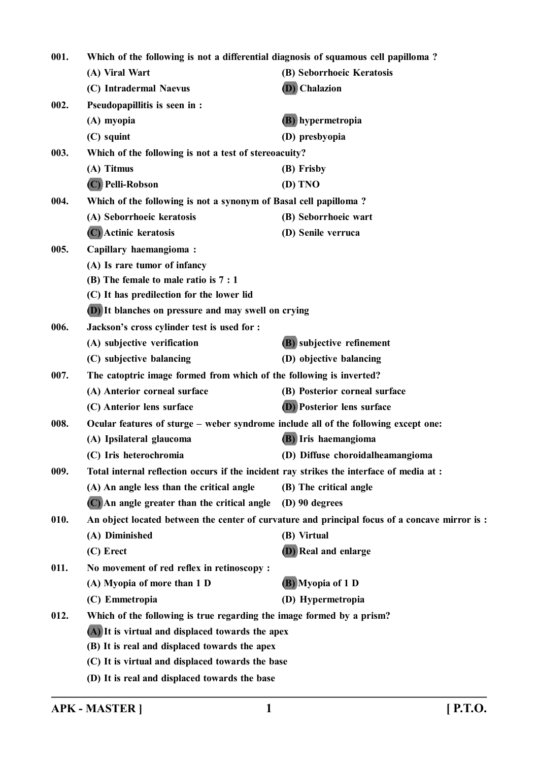| 001. | Which of the following is not a differential diagnosis of squamous cell papilloma?       |                                                                                                |
|------|------------------------------------------------------------------------------------------|------------------------------------------------------------------------------------------------|
|      | (A) Viral Wart                                                                           | (B) Seborrhoeic Keratosis                                                                      |
|      | (C) Intradermal Naevus                                                                   | (D) Chalazion                                                                                  |
| 002. | Pseudopapillitis is seen in :                                                            |                                                                                                |
|      | (A) myopia                                                                               | (B) hypermetropia                                                                              |
|      | (C) squint                                                                               | (D) presbyopia                                                                                 |
| 003. | Which of the following is not a test of stereoacuity?                                    |                                                                                                |
|      | (A) Titmus                                                                               | (B) Frisby                                                                                     |
|      | (C) Pelli-Robson                                                                         | (D) TNO                                                                                        |
| 004. | Which of the following is not a synonym of Basal cell papilloma?                         |                                                                                                |
|      | (A) Seborrhoeic keratosis                                                                | (B) Seborrhoeic wart                                                                           |
|      | (C) Actinic keratosis                                                                    | (D) Senile verruca                                                                             |
| 005. | Capillary haemangioma:                                                                   |                                                                                                |
|      | (A) Is rare tumor of infancy                                                             |                                                                                                |
|      | (B) The female to male ratio is 7 : 1                                                    |                                                                                                |
|      | (C) It has predilection for the lower lid                                                |                                                                                                |
|      | <b>(D)</b> It blanches on pressure and may swell on crying                               |                                                                                                |
| 006. | Jackson's cross cylinder test is used for :                                              |                                                                                                |
|      | (A) subjective verification                                                              | (B) subjective refinement                                                                      |
|      | (C) subjective balancing                                                                 | (D) objective balancing                                                                        |
| 007. | The catoptric image formed from which of the following is inverted?                      |                                                                                                |
|      | (A) Anterior corneal surface                                                             | (B) Posterior corneal surface                                                                  |
|      | (C) Anterior lens surface                                                                | <b>(D)</b> Posterior lens surface                                                              |
| 008. | Ocular features of sturge - weber syndrome include all of the following except one:      |                                                                                                |
|      | (A) Ipsilateral glaucoma                                                                 | (B) Iris haemangioma                                                                           |
|      | (C) Iris heterochromia                                                                   | (D) Diffuse choroidalheamangioma                                                               |
| 009. | Total internal reflection occurs if the incident ray strikes the interface of media at : |                                                                                                |
|      | (A) An angle less than the critical angle                                                | (B) The critical angle                                                                         |
|      | (C) An angle greater than the critical angle                                             | $(D)$ 90 degrees                                                                               |
| 010. |                                                                                          | An object located between the center of curvature and principal focus of a concave mirror is : |
|      | (A) Diminished                                                                           | (B) Virtual                                                                                    |
|      | (C) Erect                                                                                | (D) Real and enlarge                                                                           |
| 011. | No movement of red reflex in retinoscopy :                                               |                                                                                                |
|      | (A) Myopia of more than 1 D                                                              | (B) Myopia of 1 D                                                                              |
|      | (C) Emmetropia                                                                           | (D) Hypermetropia                                                                              |
| 012. | Which of the following is true regarding the image formed by a prism?                    |                                                                                                |
|      | (A) It is virtual and displaced towards the apex                                         |                                                                                                |
|      | (B) It is real and displaced towards the apex                                            |                                                                                                |
|      | (C) It is virtual and displaced towards the base                                         |                                                                                                |
|      | (D) It is real and displaced towards the base                                            |                                                                                                |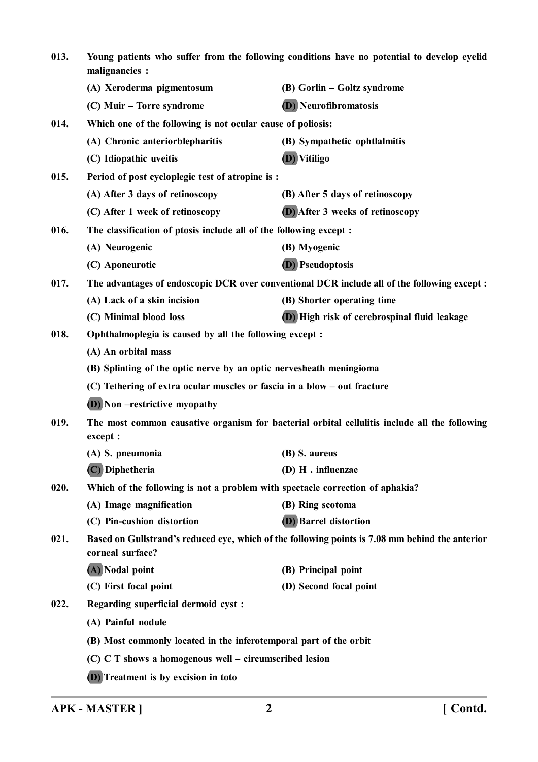| 013. | Young patients who suffer from the following conditions have no potential to develop eyelid<br>malignancies : |                                                                                                 |
|------|---------------------------------------------------------------------------------------------------------------|-------------------------------------------------------------------------------------------------|
|      | (A) Xeroderma pigmentosum                                                                                     | (B) Gorlin – Goltz syndrome                                                                     |
|      | (C) Muir – Torre syndrome                                                                                     | (D) Neurofibromatosis                                                                           |
| 014. | Which one of the following is not ocular cause of poliosis:                                                   |                                                                                                 |
|      | (A) Chronic anteriorblepharitis                                                                               | (B) Sympathetic ophtlalmitis                                                                    |
|      | (C) Idiopathic uveitis                                                                                        | (D) Vitiligo                                                                                    |
| 015. | Period of post cycloplegic test of atropine is:                                                               |                                                                                                 |
|      | (A) After 3 days of retinoscopy                                                                               | (B) After 5 days of retinoscopy                                                                 |
|      | (C) After 1 week of retinoscopy                                                                               | (D) After 3 weeks of retinoscopy                                                                |
| 016. | The classification of ptosis include all of the following except:                                             |                                                                                                 |
|      | (A) Neurogenic                                                                                                | (B) Myogenic                                                                                    |
|      | (C) Aponeurotic                                                                                               | <b>(D)</b> Pseudoptosis                                                                         |
| 017. |                                                                                                               | The advantages of endoscopic DCR over conventional DCR include all of the following except:     |
|      | (A) Lack of a skin incision                                                                                   | (B) Shorter operating time                                                                      |
|      | (C) Minimal blood loss                                                                                        | (D) High risk of cerebrospinal fluid leakage                                                    |
| 018. | Ophthalmoplegia is caused by all the following except :                                                       |                                                                                                 |
|      | (A) An orbital mass                                                                                           |                                                                                                 |
|      | (B) Splinting of the optic nerve by an optic nervesheath meningioma                                           |                                                                                                 |
|      | (C) Tethering of extra ocular muscles or fascia in a blow – out fracture                                      |                                                                                                 |
|      | <b>(D)</b> Non –restrictive myopathy                                                                          |                                                                                                 |
| 019. | except :                                                                                                      | The most common causative organism for bacterial orbital cellulitis include all the following   |
|      | (A) S. pneumonia                                                                                              | (B) S. aureus                                                                                   |
|      | (C) Diphetheria                                                                                               | $(D)$ H . influenzae                                                                            |
| 020. | Which of the following is not a problem with spectacle correction of aphakia?                                 |                                                                                                 |
|      | (A) Image magnification                                                                                       | (B) Ring scotoma                                                                                |
|      | (C) Pin-cushion distortion                                                                                    | <b>(D)</b> Barrel distortion                                                                    |
| 021. | corneal surface?                                                                                              | Based on Gullstrand's reduced eye, which of the following points is 7.08 mm behind the anterior |
|      | (A) Nodal point                                                                                               | (B) Principal point                                                                             |
|      | (C) First focal point                                                                                         | (D) Second focal point                                                                          |
| 022. | Regarding superficial dermoid cyst:                                                                           |                                                                                                 |
|      | (A) Painful nodule                                                                                            |                                                                                                 |
|      | (B) Most commonly located in the inferotemporal part of the orbit                                             |                                                                                                 |
|      | (C) C T shows a homogenous well - circumscribed lesion                                                        |                                                                                                 |
|      | (D) Treatment is by excision in toto                                                                          |                                                                                                 |
|      |                                                                                                               |                                                                                                 |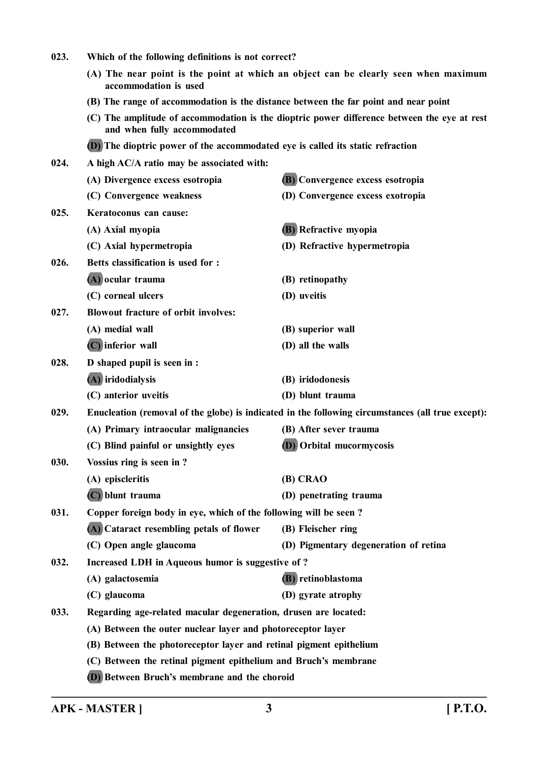| 023. | Which of the following definitions is not correct?                                  |                                                                                                   |  |
|------|-------------------------------------------------------------------------------------|---------------------------------------------------------------------------------------------------|--|
|      | accommodation is used                                                               | (A) The near point is the point at which an object can be clearly seen when maximum               |  |
|      | (B) The range of accommodation is the distance between the far point and near point |                                                                                                   |  |
|      | and when fully accommodated                                                         | (C) The amplitude of accommodation is the dioptric power difference between the eye at rest       |  |
|      | (D) The dioptric power of the accommodated eye is called its static refraction      |                                                                                                   |  |
| 024. | A high AC/A ratio may be associated with:                                           |                                                                                                   |  |
|      | (A) Divergence excess esotropia                                                     | <b>(B)</b> Convergence excess esotropia                                                           |  |
|      | (C) Convergence weakness                                                            | (D) Convergence excess exotropia                                                                  |  |
| 025. | Keratoconus can cause:                                                              |                                                                                                   |  |
|      | (A) Axial myopia                                                                    | <b>(B)</b> Refractive myopia                                                                      |  |
|      | (C) Axial hypermetropia                                                             | (D) Refractive hypermetropia                                                                      |  |
| 026. | Betts classification is used for :                                                  |                                                                                                   |  |
|      | (A) ocular trauma                                                                   | (B) retinopathy                                                                                   |  |
|      | (C) corneal ulcers                                                                  | (D) uveitis                                                                                       |  |
| 027. | <b>Blowout fracture of orbit involves:</b>                                          |                                                                                                   |  |
|      | (A) medial wall                                                                     | (B) superior wall                                                                                 |  |
|      | (C) inferior wall                                                                   | (D) all the walls                                                                                 |  |
| 028. | D shaped pupil is seen in :                                                         |                                                                                                   |  |
|      | (A) iridodialysis                                                                   | (B) iridodonesis                                                                                  |  |
|      | (C) anterior uveitis                                                                | (D) blunt trauma                                                                                  |  |
| 029. |                                                                                     | Enucleation (removal of the globe) is indicated in the following circumstances (all true except): |  |
|      | (A) Primary intraocular malignancies                                                | (B) After sever trauma                                                                            |  |
|      | (C) Blind painful or unsightly eyes                                                 | <b>(D)</b> Orbital mucormycosis                                                                   |  |
| 030. | Vossius ring is seen in?                                                            |                                                                                                   |  |
|      | (A) episcleritis                                                                    | (B) CRAO                                                                                          |  |
|      | (C) blunt trauma                                                                    | (D) penetrating trauma                                                                            |  |
| 031. | Copper foreign body in eye, which of the following will be seen?                    |                                                                                                   |  |
|      | (A) Cataract resembling petals of flower                                            | (B) Fleischer ring                                                                                |  |
|      | (C) Open angle glaucoma                                                             | (D) Pigmentary degeneration of retina                                                             |  |
| 032. | Increased LDH in Aqueous humor is suggestive of?                                    |                                                                                                   |  |
|      | (A) galactosemia                                                                    | (B) retinoblastoma                                                                                |  |
|      | (C) glaucoma                                                                        | (D) gyrate atrophy                                                                                |  |
| 033. | Regarding age-related macular degeneration, drusen are located:                     |                                                                                                   |  |
|      | (A) Between the outer nuclear layer and photoreceptor layer                         |                                                                                                   |  |
|      | (B) Between the photoreceptor layer and retinal pigment epithelium                  |                                                                                                   |  |
|      | (C) Between the retinal pigment epithelium and Bruch's membrane                     |                                                                                                   |  |
|      | (D) Between Bruch's membrane and the choroid                                        |                                                                                                   |  |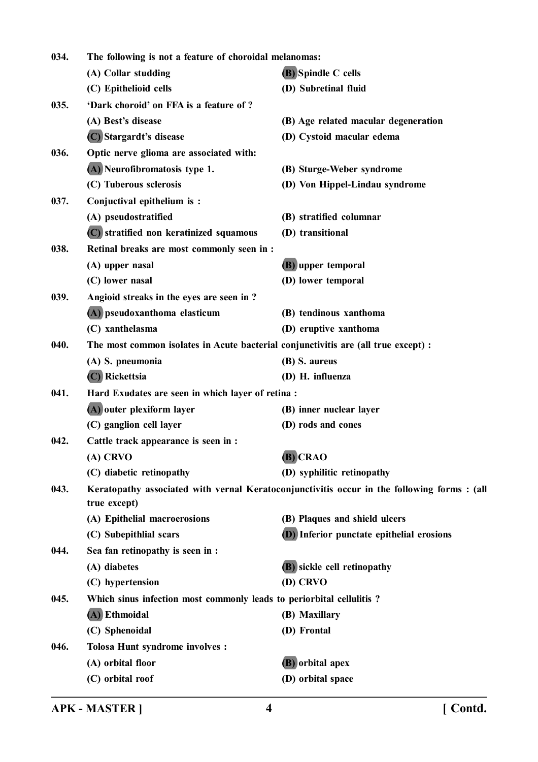| 034. | The following is not a feature of choroidal melanomas:                             |                                                                                            |
|------|------------------------------------------------------------------------------------|--------------------------------------------------------------------------------------------|
|      | (A) Collar studding                                                                | (B) Spindle C cells                                                                        |
|      | (C) Epithelioid cells                                                              | (D) Subretinal fluid                                                                       |
| 035. | 'Dark choroid' on FFA is a feature of ?                                            |                                                                                            |
|      | (A) Best's disease                                                                 | (B) Age related macular degeneration                                                       |
|      | (C) Stargardt's disease                                                            | (D) Cystoid macular edema                                                                  |
| 036. | Optic nerve glioma are associated with:                                            |                                                                                            |
|      | (A) Neurofibromatosis type 1.                                                      | (B) Sturge-Weber syndrome                                                                  |
|      | (C) Tuberous sclerosis                                                             | (D) Von Hippel-Lindau syndrome                                                             |
| 037. | Conjuctival epithelium is:                                                         |                                                                                            |
|      | (A) pseudostratified                                                               | (B) stratified columnar                                                                    |
|      | (C) stratified non keratinized squamous                                            | (D) transitional                                                                           |
| 038. | Retinal breaks are most commonly seen in :                                         |                                                                                            |
|      | (A) upper nasal                                                                    | (B) upper temporal                                                                         |
|      | (C) lower nasal                                                                    | (D) lower temporal                                                                         |
| 039. | Angioid streaks in the eyes are seen in ?                                          |                                                                                            |
|      | (A) pseudoxanthoma elasticum                                                       | (B) tendinous xanthoma                                                                     |
|      | (C) xanthelasma                                                                    | (D) eruptive xanthoma                                                                      |
| 040. | The most common isolates in Acute bacterial conjunctivitis are (all true except) : |                                                                                            |
|      | (A) S. pneumonia                                                                   | (B) S. aureus                                                                              |
|      | (C) Rickettsia                                                                     | (D) H. influenza                                                                           |
| 041. | Hard Exudates are seen in which layer of retina :                                  |                                                                                            |
|      | (A) outer plexiform layer                                                          | (B) inner nuclear layer                                                                    |
|      | (C) ganglion cell layer                                                            | (D) rods and cones                                                                         |
| 042. | Cattle track appearance is seen in :                                               |                                                                                            |
|      | (A) CRVO                                                                           | $(B)$ CRAO                                                                                 |
|      | (C) diabetic retinopathy                                                           | (D) syphilitic retinopathy                                                                 |
| 043. | true except)                                                                       | Keratopathy associated with vernal Keratoconjunctivitis occur in the following forms: (all |
|      | (A) Epithelial macroerosions                                                       | (B) Plaques and shield ulcers                                                              |
|      | (C) Subepithlial scars                                                             | <b>(D)</b> Inferior punctate epithelial erosions                                           |
| 044. | Sea fan retinopathy is seen in :                                                   |                                                                                            |
|      | (A) diabetes                                                                       | (B) sickle cell retinopathy                                                                |
|      | (C) hypertension                                                                   | (D) CRVO                                                                                   |
| 045. | Which sinus infection most commonly leads to periorbital cellulitis?               |                                                                                            |
|      | (A) Ethmoidal                                                                      | (B) Maxillary                                                                              |
|      | (C) Sphenoidal                                                                     | (D) Frontal                                                                                |
| 046. | <b>Tolosa Hunt syndrome involves :</b>                                             |                                                                                            |
|      | (A) orbital floor                                                                  | (B) orbital apex                                                                           |
|      | (C) orbital roof                                                                   | (D) orbital space                                                                          |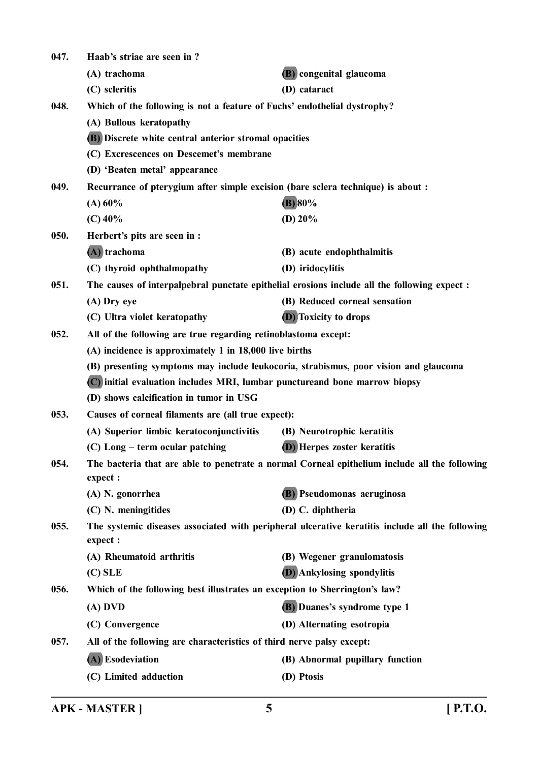| 047. | Haab's striae are seen in?                                                       |                                                                                                 |
|------|----------------------------------------------------------------------------------|-------------------------------------------------------------------------------------------------|
|      | (A) trachoma                                                                     | (B) congenital glaucoma                                                                         |
|      | (C) scleritis                                                                    | (D) cataract                                                                                    |
| 048. | Which of the following is not a feature of Fuchs' endothelial dystrophy?         |                                                                                                 |
|      | (A) Bullous keratopathy                                                          |                                                                                                 |
|      | (B) Discrete white central anterior stromal opacities                            |                                                                                                 |
|      | (C) Excrescences on Descemet's membrane                                          |                                                                                                 |
|      | (D) 'Beaten metal' appearance                                                    |                                                                                                 |
| 049. | Recurrance of pterygium after simple excision (bare sclera technique) is about : |                                                                                                 |
|      | (A) 60%                                                                          | (B) 80%                                                                                         |
|      | $(C)$ 40%                                                                        | (D) $20%$                                                                                       |
| 050. | Herbert's pits are seen in :                                                     |                                                                                                 |
|      | (A) trachoma                                                                     | (B) acute endophthalmitis                                                                       |
|      | (C) thyroid ophthalmopathy                                                       | (D) iridocylitis                                                                                |
| 051. |                                                                                  | The causes of interpalpebral punctate epithelial erosions include all the following expect :    |
|      | (A) Dry eye                                                                      | (B) Reduced corneal sensation                                                                   |
|      | (C) Ultra violet keratopathy                                                     | <b>(D)</b> Toxicity to drops                                                                    |
| 052. | All of the following are true regarding retinoblastoma except:                   |                                                                                                 |
|      | (A) incidence is approximately 1 in 18,000 live births                           |                                                                                                 |
|      |                                                                                  | (B) presenting symptoms may include leukocoria, strabismus, poor vision and glaucoma            |
|      | (C) initial evaluation includes MRI, lumbar punctureand bone marrow biopsy       |                                                                                                 |
|      | (D) shows calcification in tumor in USG                                          |                                                                                                 |
| 053. | Causes of corneal filaments are (all true expect):                               |                                                                                                 |
|      | (A) Superior limbic keratoconjunctivitis                                         | (B) Neurotrophic keratitis                                                                      |
|      | (C) Long – term ocular patching                                                  | <b>(D)</b> Herpes zoster keratitis                                                              |
| 054. | expect :                                                                         | The bacteria that are able to penetrate a normal Corneal epithelium include all the following   |
|      | (A) N. gonorrhea                                                                 | (B) Pseudomonas aeruginosa                                                                      |
|      | (C) N. meningitides                                                              | (D) C. diphtheria                                                                               |
| 055. | expect :                                                                         | The systemic diseases associated with peripheral ulcerative keratitis include all the following |
|      | (A) Rheumatoid arthritis                                                         | (B) Wegener granulomatosis                                                                      |
|      | $(C)$ SLE                                                                        | <b>(D)</b> Ankylosing spondylitis                                                               |
| 056. | Which of the following best illustrates an exception to Sherrington's law?       |                                                                                                 |
|      | $(A)$ DVD                                                                        | <b>(B)</b> Duanes's syndrome type 1                                                             |
|      | (C) Convergence                                                                  | (D) Alternating esotropia                                                                       |
| 057. | All of the following are characteristics of third nerve palsy except:            |                                                                                                 |
|      | (A) Esodeviation                                                                 | (B) Abnormal pupillary function                                                                 |
|      | (C) Limited adduction                                                            | (D) Ptosis                                                                                      |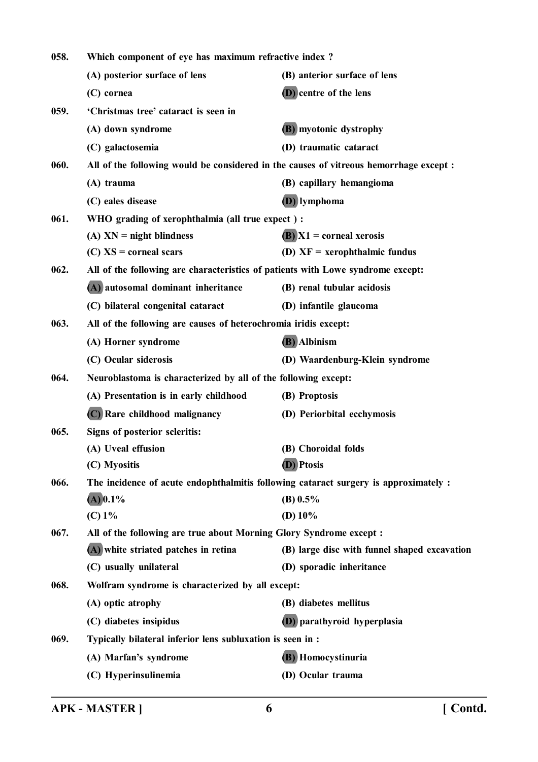| 058. | Which component of eye has maximum refractive index?                            |                                                                                        |
|------|---------------------------------------------------------------------------------|----------------------------------------------------------------------------------------|
|      | (A) posterior surface of lens                                                   | (B) anterior surface of lens                                                           |
|      | (C) cornea                                                                      | <b>(D)</b> centre of the lens                                                          |
| 059. | 'Christmas tree' cataract is seen in                                            |                                                                                        |
|      | (A) down syndrome                                                               | (B) myotonic dystrophy                                                                 |
|      | (C) galactosemia                                                                | (D) traumatic cataract                                                                 |
| 060. |                                                                                 | All of the following would be considered in the causes of vitreous hemorrhage except : |
|      | (A) trauma                                                                      | (B) capillary hemangioma                                                               |
|      | (C) eales disease                                                               | (D) lymphoma                                                                           |
| 061. | WHO grading of xerophthalmia (all true expect) :                                |                                                                                        |
|      | $(A)$ XN = night blindness                                                      | $(B)$ $X1$ = corneal xerosis                                                           |
|      | $(C)$ XS = corneal scars                                                        | (D) $XF = xerophthalmic fundus$                                                        |
| 062. | All of the following are characteristics of patients with Lowe syndrome except: |                                                                                        |
|      | (A) autosomal dominant inheritance                                              | (B) renal tubular acidosis                                                             |
|      | (C) bilateral congenital cataract                                               | (D) infantile glaucoma                                                                 |
| 063. | All of the following are causes of heterochromia iridis except:                 |                                                                                        |
|      | (A) Horner syndrome                                                             | (B) Albinism                                                                           |
|      | (C) Ocular siderosis                                                            | (D) Waardenburg-Klein syndrome                                                         |
| 064. | Neuroblastoma is characterized by all of the following except:                  |                                                                                        |
|      | (A) Presentation is in early childhood                                          | (B) Proptosis                                                                          |
|      | (C) Rare childhood malignancy                                                   | (D) Periorbital ecchymosis                                                             |
| 065. | Signs of posterior scleritis:                                                   |                                                                                        |
|      | (A) Uveal effusion                                                              | (B) Choroidal folds                                                                    |
|      | (C) Myositis                                                                    | (D) Ptosis                                                                             |
| 066. |                                                                                 | The incidence of acute endophthalmitis following cataract surgery is approximately :   |
|      | $(A)$ 0.1%                                                                      | (B) $0.5\%$                                                                            |
|      | (C) 1%                                                                          | (D) $10\%$                                                                             |
| 067. | All of the following are true about Morning Glory Syndrome except :             |                                                                                        |
|      | (A) white striated patches in retina                                            | (B) large disc with funnel shaped excavation                                           |
|      | (C) usually unilateral                                                          | (D) sporadic inheritance                                                               |
| 068. | Wolfram syndrome is characterized by all except:                                |                                                                                        |
|      | (A) optic atrophy                                                               | (B) diabetes mellitus                                                                  |
|      | (C) diabetes insipidus                                                          | (D) parathyroid hyperplasia                                                            |
| 069. | Typically bilateral inferior lens subluxation is seen in :                      |                                                                                        |
|      | (A) Marfan's syndrome                                                           | (B) Homocystinuria                                                                     |
|      | (C) Hyperinsulinemia                                                            | (D) Ocular trauma                                                                      |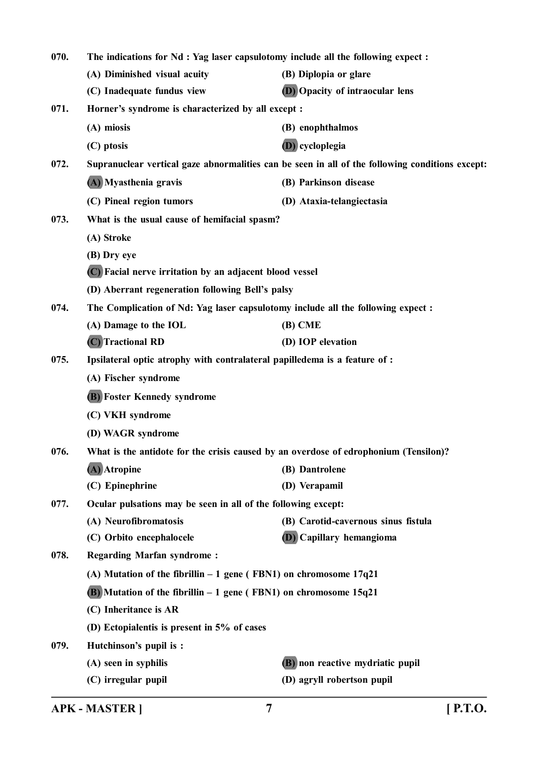| 070. | The indications for Nd : Yag laser capsulotomy include all the following expect :    |                                                                                                 |
|------|--------------------------------------------------------------------------------------|-------------------------------------------------------------------------------------------------|
|      | (A) Diminished visual acuity                                                         | (B) Diplopia or glare                                                                           |
|      | (C) Inadequate fundus view                                                           | <b>D</b> ) Opacity of intraocular lens                                                          |
| 071. | Horner's syndrome is characterized by all except :                                   |                                                                                                 |
|      | (A) miosis                                                                           | (B) enophthalmos                                                                                |
|      | (C) ptosis                                                                           | (D) cycloplegia                                                                                 |
| 072. |                                                                                      | Supranuclear vertical gaze abnormalities can be seen in all of the following conditions except: |
|      | (A) Myasthenia gravis                                                                | (B) Parkinson disease                                                                           |
|      | (C) Pineal region tumors                                                             | (D) Ataxia-telangiectasia                                                                       |
| 073. | What is the usual cause of hemifacial spasm?                                         |                                                                                                 |
|      | (A) Stroke                                                                           |                                                                                                 |
|      | (B) Dry eye                                                                          |                                                                                                 |
|      | (C) Facial nerve irritation by an adjacent blood vessel                              |                                                                                                 |
|      | (D) Aberrant regeneration following Bell's palsy                                     |                                                                                                 |
| 074. | The Complication of Nd: Yag laser capsulotomy include all the following expect :     |                                                                                                 |
|      | (A) Damage to the IOL                                                                | $(B)$ CME                                                                                       |
|      | (C) Tractional RD                                                                    | (D) IOP elevation                                                                               |
| 075. | Ipsilateral optic atrophy with contralateral papilledema is a feature of :           |                                                                                                 |
|      | (A) Fischer syndrome                                                                 |                                                                                                 |
|      | <b>(B)</b> Foster Kennedy syndrome                                                   |                                                                                                 |
|      | (C) VKH syndrome                                                                     |                                                                                                 |
|      | (D) WAGR syndrome                                                                    |                                                                                                 |
| 076. | What is the antidote for the crisis caused by an overdose of edrophonium (Tensilon)? |                                                                                                 |
|      | (A) Atropine                                                                         | (B) Dantrolene                                                                                  |
|      | (C) Epinephrine                                                                      | (D) Verapamil                                                                                   |
| 077. | Ocular pulsations may be seen in all of the following except:                        |                                                                                                 |
|      | (A) Neurofibromatosis                                                                | (B) Carotid-cavernous sinus fistula                                                             |
|      | (C) Orbito encephalocele                                                             | <b>D</b> ) Capillary hemangioma                                                                 |
| 078. | <b>Regarding Marfan syndrome:</b>                                                    |                                                                                                 |
|      | (A) Mutation of the fibrillin $-1$ gene (FBN1) on chromosome $17q21$                 |                                                                                                 |
|      | $(B)$ Mutation of the fibrillin $-1$ gene (FBN1) on chromosome 15q21                 |                                                                                                 |
|      | (C) Inheritance is AR                                                                |                                                                                                 |
|      | (D) Ectopialentis is present in 5% of cases                                          |                                                                                                 |
| 079. | Hutchinson's pupil is :                                                              |                                                                                                 |
|      | (A) seen in syphilis                                                                 | (B) non reactive mydriatic pupil                                                                |
|      | (C) irregular pupil                                                                  | (D) agryll robertson pupil                                                                      |

**APK - MASTER ] 7 [ P.T.O.**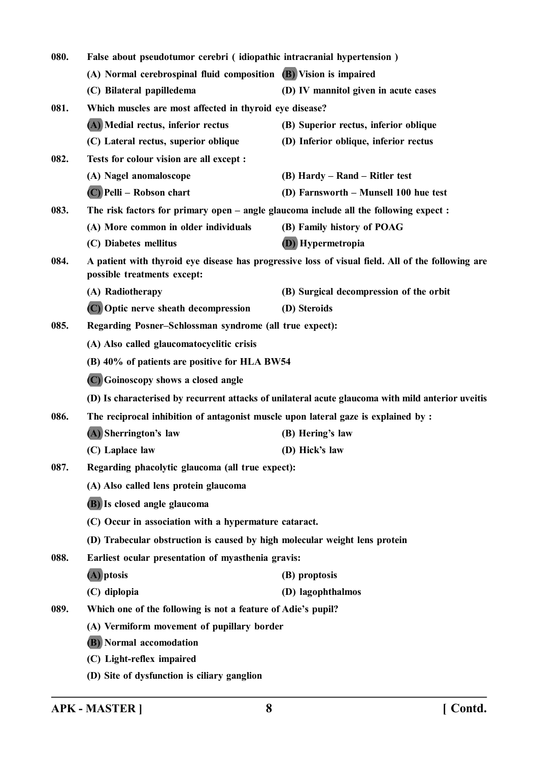| 080. | False about pseudotumor cerebri (idiopathic intracranial hypertension)                |                                                                                                   |
|------|---------------------------------------------------------------------------------------|---------------------------------------------------------------------------------------------------|
|      | (A) Normal cerebrospinal fluid composition (B) Vision is impaired                     |                                                                                                   |
|      | (C) Bilateral papilledema                                                             | (D) IV mannitol given in acute cases                                                              |
| 081. | Which muscles are most affected in thyroid eye disease?                               |                                                                                                   |
|      | (A) Medial rectus, inferior rectus                                                    | (B) Superior rectus, inferior oblique                                                             |
|      | (C) Lateral rectus, superior oblique                                                  | (D) Inferior oblique, inferior rectus                                                             |
| 082. | Tests for colour vision are all except :                                              |                                                                                                   |
|      | (A) Nagel anomaloscope                                                                | (B) Hardy – Rand – Ritler test                                                                    |
|      | (C) Pelli - Robson chart                                                              | (D) Farnsworth - Munsell 100 hue test                                                             |
| 083. | The risk factors for primary open – angle glaucoma include all the following expect : |                                                                                                   |
|      | (A) More common in older individuals                                                  | (B) Family history of POAG                                                                        |
|      | (C) Diabetes mellitus                                                                 | (D) Hypermetropia                                                                                 |
| 084. | possible treatments except:                                                           | A patient with thyroid eye disease has progressive loss of visual field. All of the following are |
|      | (A) Radiotherapy                                                                      | (B) Surgical decompression of the orbit                                                           |
|      | (C) Optic nerve sheath decompression                                                  | (D) Steroids                                                                                      |
| 085. | Regarding Posner-Schlossman syndrome (all true expect):                               |                                                                                                   |
|      | (A) Also called glaucomatocyclitic crisis                                             |                                                                                                   |
|      | (B) 40% of patients are positive for HLA BW54                                         |                                                                                                   |
|      | (C) Goinoscopy shows a closed angle                                                   |                                                                                                   |
|      |                                                                                       | (D) Is characterised by recurrent attacks of unilateral acute glaucoma with mild anterior uveitis |
| 086. | The reciprocal inhibition of antagonist muscle upon lateral gaze is explained by :    |                                                                                                   |
|      | (A) Sherrington's law                                                                 | (B) Hering's law                                                                                  |
|      | (C) Laplace law                                                                       | (D) Hick's law                                                                                    |
| 087. | Regarding phacolytic glaucoma (all true expect):                                      |                                                                                                   |
|      | (A) Also called lens protein glaucoma                                                 |                                                                                                   |
|      | (B) Is closed angle glaucoma                                                          |                                                                                                   |
|      | (C) Occur in association with a hypermature cataract.                                 |                                                                                                   |
|      | (D) Trabecular obstruction is caused by high molecular weight lens protein            |                                                                                                   |
| 088. | Earliest ocular presentation of myasthenia gravis:                                    |                                                                                                   |
|      | (A) ptosis                                                                            | (B) proptosis                                                                                     |
|      | (C) diplopia                                                                          | (D) lagophthalmos                                                                                 |
| 089. | Which one of the following is not a feature of Adie's pupil?                          |                                                                                                   |
|      | (A) Vermiform movement of pupillary border                                            |                                                                                                   |
|      | <b>(B)</b> Normal accomodation                                                        |                                                                                                   |
|      | (C) Light-reflex impaired                                                             |                                                                                                   |
|      | (D) Site of dysfunction is ciliary ganglion                                           |                                                                                                   |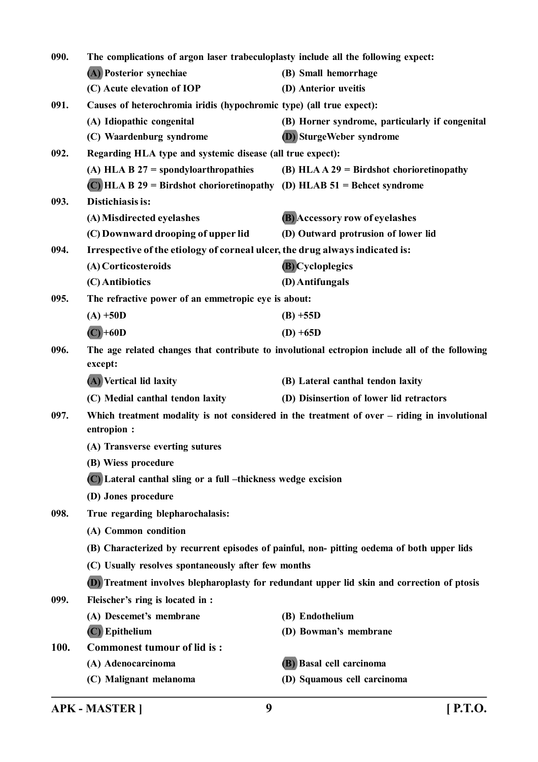| 090. | The complications of argon laser trabeculoplasty include all the following expect: |                                                                                                |
|------|------------------------------------------------------------------------------------|------------------------------------------------------------------------------------------------|
|      | (A) Posterior synechiae                                                            | (B) Small hemorrhage                                                                           |
|      | (C) Acute elevation of IOP                                                         | (D) Anterior uveitis                                                                           |
| 091. | Causes of heterochromia iridis (hypochromic type) (all true expect):               |                                                                                                |
|      | (A) Idiopathic congenital                                                          | (B) Horner syndrome, particularly if congenital                                                |
|      | (C) Waardenburg syndrome                                                           | (D) SturgeWeber syndrome                                                                       |
| 092. | Regarding HLA type and systemic disease (all true expect):                         |                                                                                                |
|      | (A) HLA B $27 =$ spondyloarthropathies                                             | (B) HLA $A$ 29 = Birdshot chorioretinopathy                                                    |
|      | $(C)$ HLA B 29 = Birdshot chorioretinopathy (D) HLAB 51 = Behcet syndrome          |                                                                                                |
| 093. | Distichiasis is:                                                                   |                                                                                                |
|      | (A) Misdirected eyelashes                                                          | (B) Accessory row of eyelashes                                                                 |
|      | (C) Downward drooping of upper lid                                                 | (D) Outward protrusion of lower lid                                                            |
| 094. | Irrespective of the etiology of corneal ulcer, the drug always indicated is:       |                                                                                                |
|      | (A) Corticosteroids                                                                | (B) Cycloplegics                                                                               |
|      | (C) Antibiotics                                                                    | (D) Antifungals                                                                                |
| 095. | The refractive power of an emmetropic eye is about:                                |                                                                                                |
|      | $(A) + 50D$                                                                        | $(B) + 55D$                                                                                    |
|      | $(C) + 60D$                                                                        | $(D) + 65D$                                                                                    |
| 096. | except:                                                                            | The age related changes that contribute to involutional ectropion include all of the following |
|      | (A) Vertical lid laxity                                                            | (B) Lateral canthal tendon laxity                                                              |
|      | (C) Medial canthal tendon laxity                                                   | (D) Disinsertion of lower lid retractors                                                       |
| 097. | entropion :                                                                        | Which treatment modality is not considered in the treatment of over - riding in involutional   |
|      | (A) Transverse everting sutures                                                    |                                                                                                |
|      | (B) Wiess procedure                                                                |                                                                                                |
|      | (C) Lateral canthal sling or a full -thickness wedge excision                      |                                                                                                |
|      | (D) Jones procedure                                                                |                                                                                                |
| 098. | True regarding blepharochalasis:                                                   |                                                                                                |
|      | (A) Common condition                                                               |                                                                                                |
|      |                                                                                    | (B) Characterized by recurrent episodes of painful, non- pitting oedema of both upper lids     |
|      | (C) Usually resolves spontaneously after few months                                |                                                                                                |
|      |                                                                                    | (D) Treatment involves blepharoplasty for redundant upper lid skin and correction of ptosis    |
| 099. | Fleischer's ring is located in :                                                   |                                                                                                |
|      | (A) Descemet's membrane                                                            | (B) Endothelium                                                                                |
|      | $(C)$ Epithelium                                                                   | (D) Bowman's membrane                                                                          |
| 100. | <b>Commonest tumour of lid is:</b>                                                 |                                                                                                |
|      | (A) Adenocarcinoma                                                                 | (B) Basal cell carcinoma                                                                       |
|      | (C) Malignant melanoma                                                             | (D) Squamous cell carcinoma                                                                    |
|      |                                                                                    |                                                                                                |

**APK - MASTER ] 9 [ P.T.O.**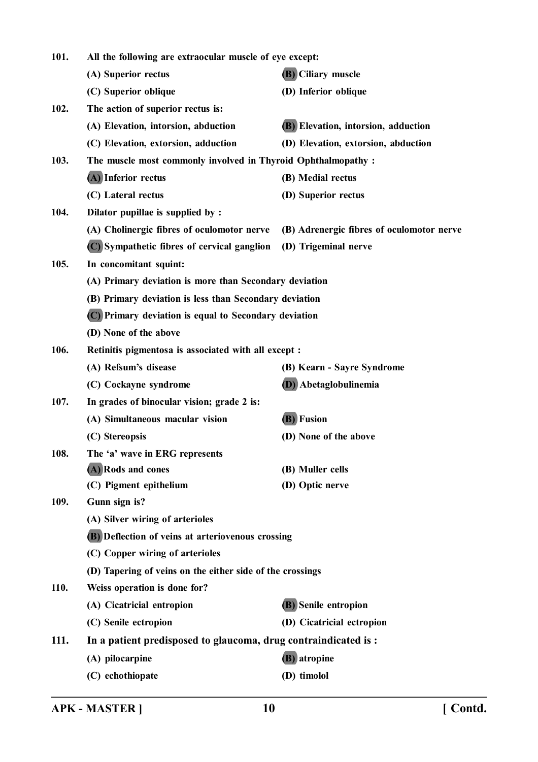| 101. | All the following are extraocular muscle of eye except:         |                                           |
|------|-----------------------------------------------------------------|-------------------------------------------|
|      | (A) Superior rectus                                             | <b>(B)</b> Ciliary muscle                 |
|      | (C) Superior oblique                                            | (D) Inferior oblique                      |
| 102. | The action of superior rectus is:                               |                                           |
|      | (A) Elevation, intorsion, abduction                             | (B) Elevation, intorsion, adduction       |
|      | (C) Elevation, extorsion, adduction                             | (D) Elevation, extorsion, abduction       |
| 103. | The muscle most commonly involved in Thyroid Ophthalmopathy :   |                                           |
|      | (A) Inferior rectus                                             | (B) Medial rectus                         |
|      | (C) Lateral rectus                                              | (D) Superior rectus                       |
| 104. | Dilator pupillae is supplied by :                               |                                           |
|      | (A) Cholinergic fibres of oculomotor nerve                      | (B) Adrenergic fibres of oculomotor nerve |
|      | (C) Sympathetic fibres of cervical ganglion                     | (D) Trigeminal nerve                      |
| 105. | In concomitant squint:                                          |                                           |
|      | (A) Primary deviation is more than Secondary deviation          |                                           |
|      | (B) Primary deviation is less than Secondary deviation          |                                           |
|      | (C) Primary deviation is equal to Secondary deviation           |                                           |
|      | (D) None of the above                                           |                                           |
| 106. | Retinitis pigmentosa is associated with all except :            |                                           |
|      | (A) Refsum's disease                                            | (B) Kearn - Sayre Syndrome                |
|      | (C) Cockayne syndrome                                           | (D) Abetaglobulinemia                     |
| 107. | In grades of binocular vision; grade 2 is:                      |                                           |
|      | (A) Simultaneous macular vision                                 | (B) Fusion                                |
|      | (C) Stereopsis                                                  | (D) None of the above                     |
| 108. | The 'a' wave in ERG represents                                  |                                           |
|      | (A) Rods and cones                                              | (B) Muller cells                          |
|      | (C) Pigment epithelium                                          | (D) Optic nerve                           |
| 109. | Gunn sign is?                                                   |                                           |
|      | (A) Silver wiring of arterioles                                 |                                           |
|      | (B) Deflection of veins at arteriovenous crossing               |                                           |
|      | (C) Copper wiring of arterioles                                 |                                           |
|      | (D) Tapering of veins on the either side of the crossings       |                                           |
| 110. | Weiss operation is done for?                                    |                                           |
|      | (A) Cicatricial entropion                                       | <b>(B)</b> Senile entropion               |
|      | (C) Senile ectropion                                            | (D) Cicatricial ectropion                 |
| 111. | In a patient predisposed to glaucoma, drug contraindicated is : |                                           |
|      | (A) pilocarpine                                                 | (B) atropine                              |
|      | (C) echothiopate                                                | (D) timolol                               |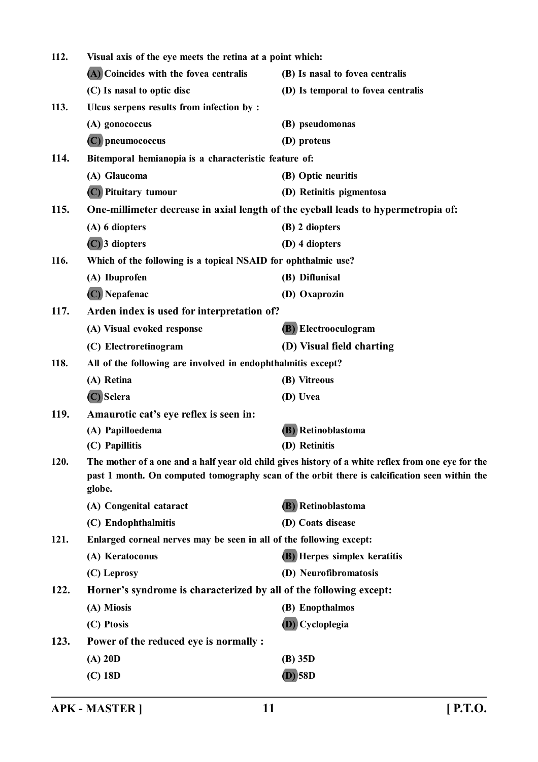| 112.<br>Visual axis of the eye meets the retina at a point which: |                                                                     |                                                                                                    |
|-------------------------------------------------------------------|---------------------------------------------------------------------|----------------------------------------------------------------------------------------------------|
|                                                                   | (A) Coincides with the fovea centralis                              | (B) Is nasal to fovea centralis                                                                    |
|                                                                   | (C) Is nasal to optic disc                                          | (D) Is temporal to fovea centralis                                                                 |
| 113.                                                              | Ulcus serpens results from infection by :                           |                                                                                                    |
|                                                                   | (A) gonococcus                                                      | (B) pseudomonas                                                                                    |
|                                                                   | (C) pneumococcus                                                    | (D) proteus                                                                                        |
| 114.                                                              | Bitemporal hemianopia is a characteristic feature of:               |                                                                                                    |
|                                                                   | (A) Glaucoma                                                        | (B) Optic neuritis                                                                                 |
|                                                                   | (C) Pituitary tumour                                                | (D) Retinitis pigmentosa                                                                           |
| 115.                                                              |                                                                     | One-millimeter decrease in axial length of the eyeball leads to hypermetropia of:                  |
|                                                                   | (A) 6 diopters                                                      | (B) 2 diopters                                                                                     |
|                                                                   | $(C)$ 3 diopters                                                    | (D) 4 diopters                                                                                     |
| 116.                                                              | Which of the following is a topical NSAID for ophthalmic use?       |                                                                                                    |
|                                                                   | (A) Ibuprofen                                                       | (B) Diflunisal                                                                                     |
|                                                                   | (C) Nepafenac                                                       | (D) Oxaprozin                                                                                      |
| 117.                                                              | Arden index is used for interpretation of?                          |                                                                                                    |
|                                                                   | (A) Visual evoked response                                          | (B) Electrooculogram                                                                               |
|                                                                   | (C) Electroretinogram                                               | (D) Visual field charting                                                                          |
| 118.                                                              | All of the following are involved in endophthalmitis except?        |                                                                                                    |
|                                                                   | (A) Retina                                                          | (B) Vitreous                                                                                       |
|                                                                   | (C) Sclera                                                          | (D) Uvea                                                                                           |
| 119.                                                              | Amaurotic cat's eye reflex is seen in:                              |                                                                                                    |
|                                                                   | (A) Papilloedema                                                    | <b>(B)</b> Retinoblastoma                                                                          |
|                                                                   | (C) Papillitis                                                      | (D) Retinitis                                                                                      |
| 120.                                                              |                                                                     | The mother of a one and a half year old child gives history of a white reflex from one eye for the |
|                                                                   |                                                                     | past 1 month. On computed tomography scan of the orbit there is calcification seen within the      |
|                                                                   | globe.                                                              |                                                                                                    |
|                                                                   | (A) Congenital cataract                                             | <b>(B)</b> Retinoblastoma                                                                          |
| 121.                                                              | (C) Endophthalmitis                                                 | (D) Coats disease                                                                                  |
|                                                                   | Enlarged corneal nerves may be seen in all of the following except: |                                                                                                    |
|                                                                   | (A) Keratoconus                                                     | <b>(B)</b> Herpes simplex keratitis<br>(D) Neurofibromatosis                                       |
|                                                                   | (C) Leprosy                                                         |                                                                                                    |
| 122.                                                              | Horner's syndrome is characterized by all of the following except:  |                                                                                                    |
|                                                                   | (A) Miosis                                                          | (B) Enopthalmos                                                                                    |
|                                                                   | (C) Ptosis                                                          | (D) Cycloplegia                                                                                    |
| 123.                                                              | Power of the reduced eye is normally :                              |                                                                                                    |
|                                                                   | $(A)$ 20D                                                           | $(B)$ 35D                                                                                          |
|                                                                   | $(C)$ 18D                                                           | $(D)$ 58 $D$                                                                                       |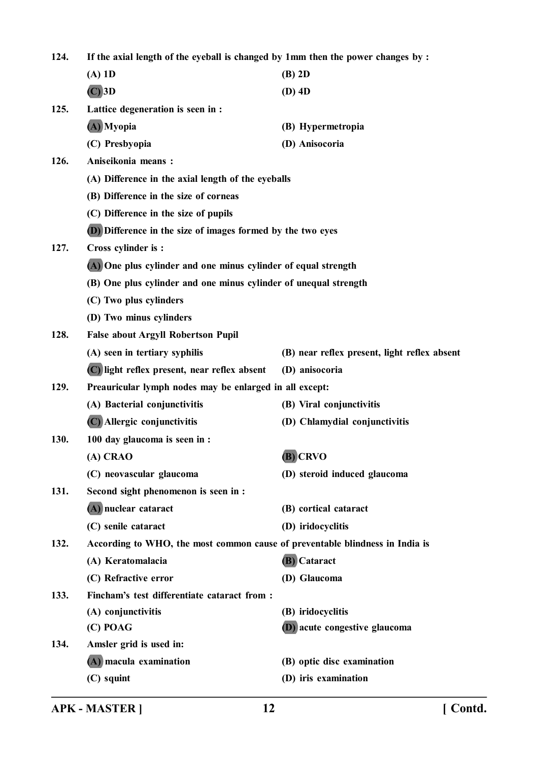**124. If the axial length of the eyeball is changed by 1mm then the power changes by : (A) 1D (B) 2D (C) 3D (D) 4D 125. Lattice degeneration is seen in : (A) Myopia (B) Hypermetropia (C) Presbyopia (D) Anisocoria 126. Aniseikonia means : (A) Difference in the axial length of the eyeballs (B) Difference in the size of corneas (C) Difference in the size of pupils (D) Difference in the size of images formed by the two eyes 127. Cross cylinder is : (A) One plus cylinder and one minus cylinder of equal strength (B) One plus cylinder and one minus cylinder of unequal strength (C) Two plus cylinders (D) Two minus cylinders 128. False about Argyll Robertson Pupil (A) seen in tertiary syphilis (B) near reflex present, light reflex absent (C) light reflex present, near reflex absent (D) anisocoria 129. Preauricular lymph nodes may be enlarged in all except: (A) Bacterial conjunctivitis (B) Viral conjunctivitis (C) Allergic conjunctivitis (D) Chlamydial conjunctivitis 130. 100 day glaucoma is seen in : (A) CRAO (B) CRVO (C) neovascular glaucoma (D) steroid induced glaucoma 131. Second sight phenomenon is seen in : (A) nuclear cataract (B) cortical cataract (C) senile cataract (D) iridocyclitis 132. According to WHO, the most common cause of preventable blindness in India is (A) Keratomalacia (B) Cataract (C) Refractive error (D) Glaucoma 133. Fincham's test differentiate cataract from : (A) conjunctivitis (B) iridocyclitis (C) POAG (D) acute congestive glaucoma 134. Amsler grid is used in: (A) macula examination (B) optic disc examination (C) squint (D) iris examination**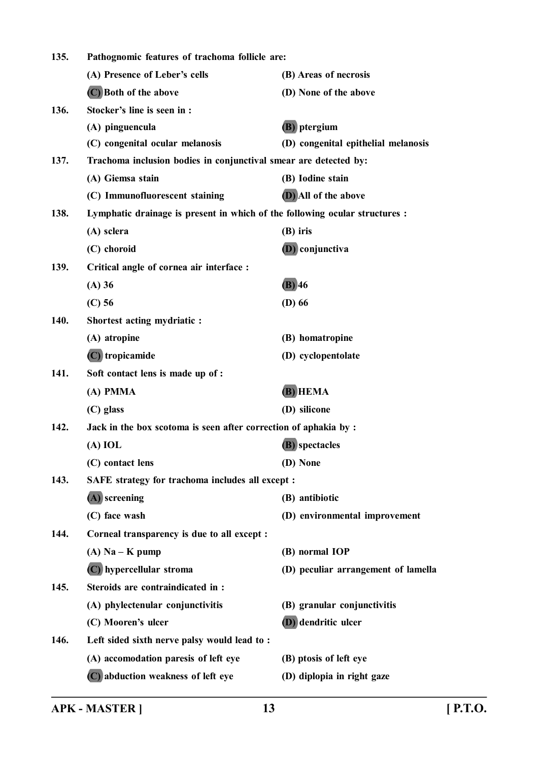| 135.<br>Pathognomic features of trachoma follicle are:                   |                                                                             |                                     |  |
|--------------------------------------------------------------------------|-----------------------------------------------------------------------------|-------------------------------------|--|
|                                                                          | (A) Presence of Leber's cells                                               | (B) Areas of necrosis               |  |
|                                                                          | (C) Both of the above                                                       | (D) None of the above               |  |
| 136.                                                                     | Stocker's line is seen in :                                                 |                                     |  |
|                                                                          | (A) pinguencula                                                             | (B) ptergium                        |  |
|                                                                          | (C) congenital ocular melanosis                                             | (D) congenital epithelial melanosis |  |
| 137.                                                                     | Trachoma inclusion bodies in conjunctival smear are detected by:            |                                     |  |
|                                                                          | (A) Giemsa stain                                                            | (B) Iodine stain                    |  |
|                                                                          | (C) Immunofluorescent staining                                              | (D) All of the above                |  |
| 138.                                                                     | Lymphatic drainage is present in which of the following ocular structures : |                                     |  |
|                                                                          | (A) sclera                                                                  | $(B)$ iris                          |  |
|                                                                          | (C) choroid                                                                 | (D) conjunctiva                     |  |
| 139.                                                                     | Critical angle of cornea air interface :                                    |                                     |  |
|                                                                          | (A) 36                                                                      | $(B)$ 46                            |  |
|                                                                          | $(C)$ 56                                                                    | $(D)$ 66                            |  |
| 140.                                                                     | Shortest acting mydriatic :                                                 |                                     |  |
|                                                                          | (A) atropine                                                                | (B) homatropine                     |  |
|                                                                          | $(C)$ tropicamide                                                           | (D) cyclopentolate                  |  |
| 141.                                                                     | Soft contact lens is made up of :                                           |                                     |  |
|                                                                          | (A) PMMA                                                                    | (B) HEMA                            |  |
|                                                                          | (C) glass                                                                   | (D) silicone                        |  |
| 142.<br>Jack in the box scotoma is seen after correction of aphakia by : |                                                                             |                                     |  |
|                                                                          | $(A)$ IOL                                                                   | (B) spectacles                      |  |
|                                                                          | (C) contact lens                                                            | (D) None                            |  |
| 143.                                                                     | SAFE strategy for trachoma includes all except :                            |                                     |  |
|                                                                          | $(A)$ screening                                                             | (B) antibiotic                      |  |
|                                                                          | (C) face wash                                                               | (D) environmental improvement       |  |
| 144.                                                                     | Corneal transparency is due to all except :                                 |                                     |  |
|                                                                          | $(A)$ Na – K pump                                                           | (B) normal IOP                      |  |
|                                                                          | (C) hypercellular stroma                                                    | (D) peculiar arrangement of lamella |  |
| 145.                                                                     | Steroids are contraindicated in:                                            |                                     |  |
|                                                                          | (A) phylectenular conjunctivitis                                            | (B) granular conjunctivitis         |  |
|                                                                          | (C) Mooren's ulcer                                                          | (D) dendritic ulcer                 |  |
| 146.                                                                     | Left sided sixth nerve palsy would lead to:                                 |                                     |  |
|                                                                          | (A) accomodation paresis of left eye                                        | (B) ptosis of left eye              |  |
|                                                                          | (C) abduction weakness of left eye                                          | (D) diplopia in right gaze          |  |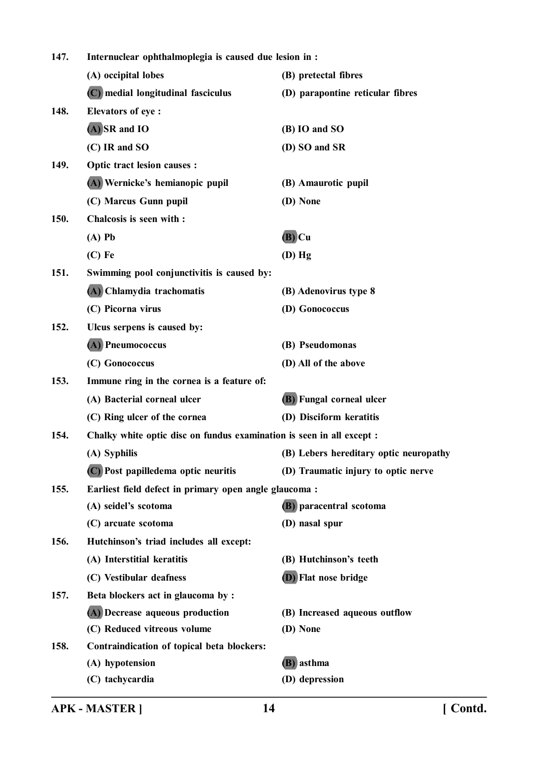| 147.<br>Internuclear ophthalmoplegia is caused due lesion in : |                                                        |                                                                       |  |  |
|----------------------------------------------------------------|--------------------------------------------------------|-----------------------------------------------------------------------|--|--|
|                                                                | (A) occipital lobes                                    | (B) pretectal fibres                                                  |  |  |
|                                                                | (C) medial longitudinal fasciculus                     | (D) parapontine reticular fibres                                      |  |  |
| 148.                                                           | <b>Elevators of eye:</b>                               |                                                                       |  |  |
|                                                                | $(A)$ SR and IO                                        | (B) IO and SO                                                         |  |  |
|                                                                | (C) IR and SO                                          | (D) SO and SR                                                         |  |  |
| 149.                                                           | <b>Optic tract lesion causes:</b>                      |                                                                       |  |  |
|                                                                | (A) Wernicke's hemianopic pupil                        | (B) Amaurotic pupil                                                   |  |  |
|                                                                | (C) Marcus Gunn pupil                                  | (D) None                                                              |  |  |
| 150.                                                           | Chalcosis is seen with :                               |                                                                       |  |  |
|                                                                | $(A)$ Pb                                               | $(B)$ Cu                                                              |  |  |
|                                                                | $(C)$ Fe                                               | $(D)$ Hg                                                              |  |  |
| 151.                                                           | Swimming pool conjunctivitis is caused by:             |                                                                       |  |  |
|                                                                | (A) Chlamydia trachomatis                              | (B) Adenovirus type 8                                                 |  |  |
|                                                                | (C) Picorna virus                                      | (D) Gonococcus                                                        |  |  |
| 152.                                                           | Ulcus serpens is caused by:                            |                                                                       |  |  |
|                                                                | (A) Pneumococcus                                       | (B) Pseudomonas                                                       |  |  |
|                                                                | (C) Gonococcus                                         | (D) All of the above                                                  |  |  |
| 153.                                                           | Immune ring in the cornea is a feature of:             |                                                                       |  |  |
|                                                                | (A) Bacterial corneal ulcer                            | (B) Fungal corneal ulcer                                              |  |  |
|                                                                | (C) Ring ulcer of the cornea                           | (D) Disciform keratitis                                               |  |  |
| 154.                                                           |                                                        | Chalky white optic disc on fundus examination is seen in all except : |  |  |
|                                                                | (A) Syphilis                                           | (B) Lebers hereditary optic neuropathy                                |  |  |
|                                                                | (C) Post papilledema optic neuritis                    | (D) Traumatic injury to optic nerve                                   |  |  |
| 155.                                                           | Earliest field defect in primary open angle glaucoma : |                                                                       |  |  |
|                                                                | (A) seidel's scotoma                                   | (B) paracentral scotoma                                               |  |  |
|                                                                | (C) arcuate scotoma                                    | (D) nasal spur                                                        |  |  |
| 156.                                                           | Hutchinson's triad includes all except:                |                                                                       |  |  |
|                                                                | (A) Interstitial keratitis                             | (B) Hutchinson's teeth                                                |  |  |
|                                                                | (C) Vestibular deafness                                | <b>(D)</b> Flat nose bridge                                           |  |  |
| 157.                                                           | Beta blockers act in glaucoma by :                     |                                                                       |  |  |
|                                                                | (A) Decrease aqueous production                        | (B) Increased aqueous outflow                                         |  |  |
|                                                                | (C) Reduced vitreous volume                            | (D) None                                                              |  |  |
| 158.                                                           | Contraindication of topical beta blockers:             |                                                                       |  |  |
|                                                                | (A) hypotension                                        | (B) asthma                                                            |  |  |
|                                                                | (C) tachycardia                                        | (D) depression                                                        |  |  |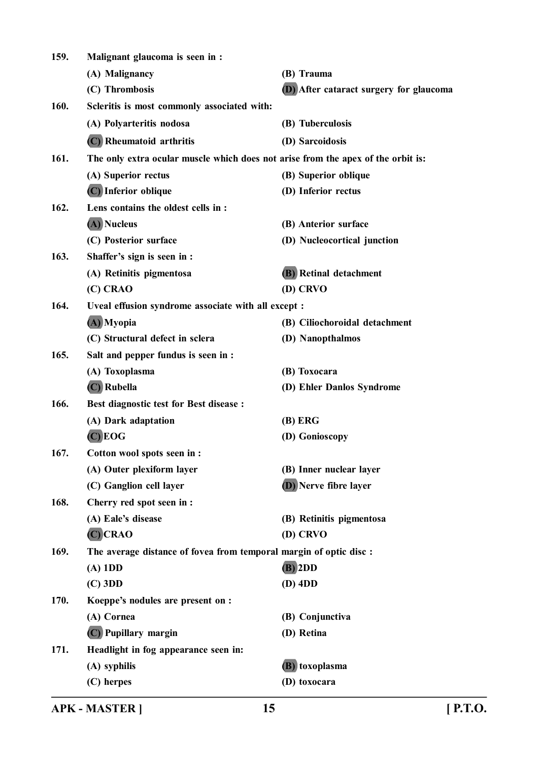| 159. | Malignant glaucoma is seen in :                                                  |                                         |
|------|----------------------------------------------------------------------------------|-----------------------------------------|
|      | (A) Malignancy                                                                   | (B) Trauma                              |
|      | (C) Thrombosis                                                                   | (D) After cataract surgery for glaucoma |
| 160. | Scleritis is most commonly associated with:                                      |                                         |
|      | (A) Polyarteritis nodosa                                                         | (B) Tuberculosis                        |
|      | (C) Rheumatoid arthritis                                                         | (D) Sarcoidosis                         |
| 161. | The only extra ocular muscle which does not arise from the apex of the orbit is: |                                         |
|      | (A) Superior rectus                                                              | (B) Superior oblique                    |
|      | (C) Inferior oblique                                                             | (D) Inferior rectus                     |
| 162. | Lens contains the oldest cells in :                                              |                                         |
|      | (A) Nucleus                                                                      | (B) Anterior surface                    |
|      | (C) Posterior surface                                                            | (D) Nucleocortical junction             |
| 163. | Shaffer's sign is seen in :                                                      |                                         |
|      | (A) Retinitis pigmentosa                                                         | <b>(B)</b> Retinal detachment           |
|      | (C) CRAO                                                                         | (D) CRVO                                |
| 164. | Uveal effusion syndrome associate with all except :                              |                                         |
|      | (A) Myopia                                                                       | (B) Ciliochoroidal detachment           |
|      | (C) Structural defect in sclera                                                  | (D) Nanopthalmos                        |
| 165. | Salt and pepper fundus is seen in :                                              |                                         |
|      | (A) Toxoplasma                                                                   | (B) Toxocara                            |
|      | $(C)$ Rubella                                                                    | (D) Ehler Danlos Syndrome               |
| 166. | <b>Best diagnostic test for Best disease :</b>                                   |                                         |
|      | (A) Dark adaptation                                                              | (B) ERG                                 |
|      | $(C)$ EOG                                                                        | (D) Gonioscopy                          |
| 167. | Cotton wool spots seen in :                                                      |                                         |
|      | (A) Outer plexiform layer                                                        | (B) Inner nuclear layer                 |
|      | (C) Ganglion cell layer                                                          | <b>(D)</b> Nerve fibre layer            |
| 168. | Cherry red spot seen in :                                                        |                                         |
|      | (A) Eale's disease                                                               | (B) Retinitis pigmentosa                |
|      | $(C)$ CRAO                                                                       | (D) CRVO                                |
| 169. | The average distance of fovea from temporal margin of optic disc :               |                                         |
|      | $(A)$ 1DD                                                                        | $(B)$ 2DD                               |
|      | $(C)$ 3DD                                                                        | $(D)$ 4DD                               |
| 170. | Koeppe's nodules are present on :                                                |                                         |
|      | (A) Cornea                                                                       | (B) Conjunctiva                         |
|      | (C) Pupillary margin                                                             | (D) Retina                              |
| 171. | Headlight in fog appearance seen in:                                             |                                         |
|      | (A) syphilis                                                                     | (B) toxoplasma                          |
|      | (C) herpes                                                                       | (D) toxocara                            |
|      |                                                                                  |                                         |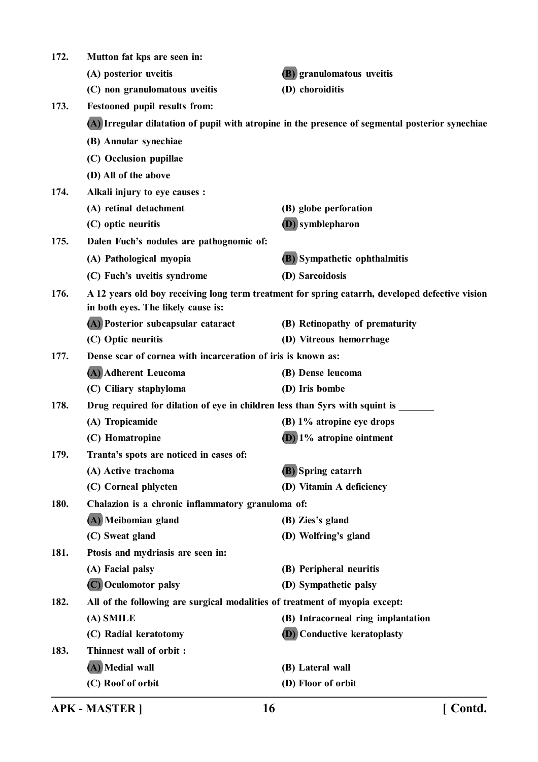| (A) posterior uveitis                                                                                                                 | (B) granulomatous uveitis           |  |
|---------------------------------------------------------------------------------------------------------------------------------------|-------------------------------------|--|
| (C) non granulomatous uveitis                                                                                                         | (D) choroiditis                     |  |
| Festooned pupil results from:                                                                                                         |                                     |  |
| (A) Irregular dilatation of pupil with atropine in the presence of segmental posterior synechiae                                      |                                     |  |
| (B) Annular synechiae                                                                                                                 |                                     |  |
| (C) Occlusion pupillae                                                                                                                |                                     |  |
| (D) All of the above                                                                                                                  |                                     |  |
| Alkali injury to eye causes :                                                                                                         |                                     |  |
| (A) retinal detachment                                                                                                                | (B) globe perforation               |  |
| (C) optic neuritis                                                                                                                    | <b>(D)</b> symblepharon             |  |
| Dalen Fuch's nodules are pathognomic of:                                                                                              |                                     |  |
| (A) Pathological myopia                                                                                                               | <b>(B)</b> Sympathetic ophthalmitis |  |
| (C) Fuch's uveitis syndrome                                                                                                           | (D) Sarcoidosis                     |  |
| A 12 years old boy receiving long term treatment for spring catarrh, developed defective vision<br>in both eyes. The likely cause is: |                                     |  |
| (A) Posterior subcapsular cataract                                                                                                    | (B) Retinopathy of prematurity      |  |
| (C) Optic neuritis                                                                                                                    | (D) Vitreous hemorrhage             |  |
| Dense scar of cornea with incarceration of iris is known as:                                                                          |                                     |  |
| (A) Adherent Leucoma                                                                                                                  | (B) Dense leucoma                   |  |
| (C) Ciliary staphyloma                                                                                                                | (D) Iris bombe                      |  |
| Drug required for dilation of eye in children less than 5yrs with squint is                                                           |                                     |  |
| (A) Tropicamide                                                                                                                       | (B) 1% atropine eye drops           |  |
| (C) Homatropine                                                                                                                       | $(D)$ 1% atropine ointment          |  |
| Tranta's spots are noticed in cases of:                                                                                               |                                     |  |
| (A) Active trachoma                                                                                                                   | (B) Spring catarrh                  |  |
| (C) Corneal phlycten                                                                                                                  | (D) Vitamin A deficiency            |  |
| Chalazion is a chronic inflammatory granuloma of:                                                                                     |                                     |  |
| (A) Meibomian gland                                                                                                                   | (B) Zies's gland                    |  |
| (C) Sweat gland                                                                                                                       | (D) Wolfring's gland                |  |
| Ptosis and mydriasis are seen in:                                                                                                     |                                     |  |
| (A) Facial palsy                                                                                                                      | (B) Peripheral neuritis             |  |
| (C) Oculomotor palsy                                                                                                                  | (D) Sympathetic palsy               |  |
| All of the following are surgical modalities of treatment of myopia except:                                                           |                                     |  |
| (A) SMILE                                                                                                                             | (B) Intracorneal ring implantation  |  |
| (C) Radial keratotomy                                                                                                                 | <b>(D)</b> Conductive keratoplasty  |  |
| Thinnest wall of orbit :                                                                                                              |                                     |  |
| (A) Medial wall                                                                                                                       | (B) Lateral wall                    |  |
| (C) Roof of orbit                                                                                                                     | (D) Floor of orbit                  |  |
|                                                                                                                                       | Mutton fat kps are seen in:         |  |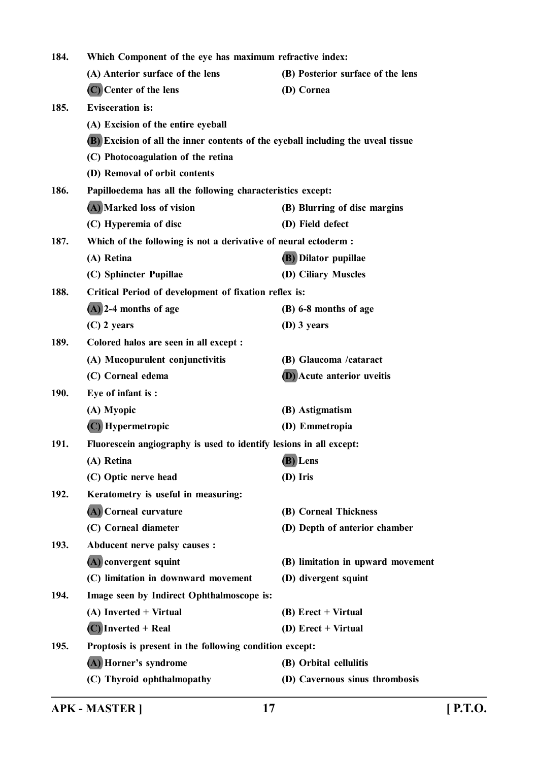| 184.        | Which Component of the eye has maximum refractive index:                         |                                   |
|-------------|----------------------------------------------------------------------------------|-----------------------------------|
|             | (A) Anterior surface of the lens                                                 | (B) Posterior surface of the lens |
|             | (C) Center of the lens                                                           | (D) Cornea                        |
| 185.        | <b>Evisceration</b> is:                                                          |                                   |
|             | (A) Excision of the entire eyeball                                               |                                   |
|             | (B) Excision of all the inner contents of the eyeball including the uveal tissue |                                   |
|             | (C) Photocoagulation of the retina                                               |                                   |
|             | (D) Removal of orbit contents                                                    |                                   |
| 186.        | Papilloedema has all the following characteristics except:                       |                                   |
|             | (A) Marked loss of vision                                                        | (B) Blurring of disc margins      |
|             | (C) Hyperemia of disc                                                            | (D) Field defect                  |
| 187.        | Which of the following is not a derivative of neural ectoderm :                  |                                   |
|             | (A) Retina                                                                       | <b>(B)</b> Dilator pupillae       |
|             | (C) Sphincter Pupillae                                                           | (D) Ciliary Muscles               |
| 188.        | Critical Period of development of fixation reflex is:                            |                                   |
|             | $(A)$ 2-4 months of age                                                          | (B) 6-8 months of age             |
|             | $(C)$ 2 years                                                                    | $(D)$ 3 years                     |
| 189.        | Colored halos are seen in all except :                                           |                                   |
|             | (A) Mucopurulent conjunctivitis                                                  | (B) Glaucoma /cataract            |
|             | (C) Corneal edema                                                                | (D) Acute anterior uveitis        |
| <b>190.</b> | Eye of infant is:                                                                |                                   |
|             | (A) Myopic                                                                       | (B) Astigmatism                   |
|             | (C) Hypermetropic                                                                | (D) Emmetropia                    |
| 191.        | Fluorescein angiography is used to identify lesions in all except:               |                                   |
|             | (A) Retina                                                                       | (B) Lens                          |
|             | (C) Optic nerve head                                                             | (D) Iris                          |
| 192.        | Keratometry is useful in measuring:                                              |                                   |
|             | (A) Corneal curvature                                                            | (B) Corneal Thickness             |
|             | (C) Corneal diameter                                                             | (D) Depth of anterior chamber     |
| 193.        | Abducent nerve palsy causes :                                                    |                                   |
|             | (A) convergent squint                                                            | (B) limitation in upward movement |
|             | (C) limitation in downward movement                                              | (D) divergent squint              |
| 194.        | Image seen by Indirect Ophthalmoscope is:                                        |                                   |
|             | (A) Inverted + Virtual                                                           | $(B)$ Erect + Virtual             |
|             | $(C)$ Inverted + Real                                                            | (D) $Erect + Virtual$             |
| 195.        | Proptosis is present in the following condition except:                          |                                   |
|             | (A) Horner's syndrome                                                            | (B) Orbital cellulitis            |
|             | (C) Thyroid ophthalmopathy                                                       | (D) Cavernous sinus thrombosis    |